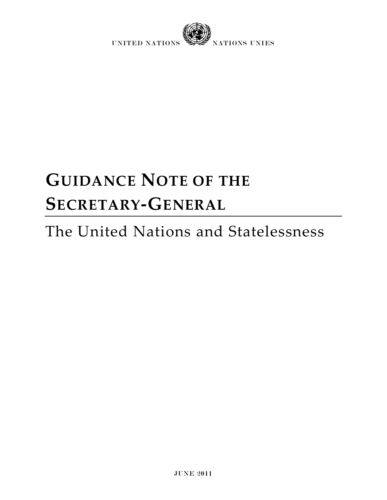

# **GUIDANCE NOTE OF THE SECRETARY-GENERAL**

# The United Nations and Statelessness

JUNE 2011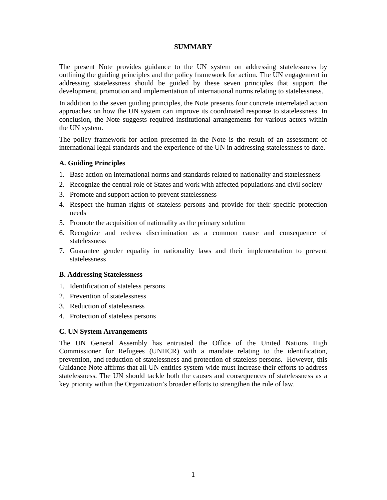#### **SUMMARY**

The present Note provides guidance to the UN system on addressing statelessness by outlining the guiding principles and the policy framework for action. The UN engagement in addressing statelessness should be guided by these seven principles that support the development, promotion and implementation of international norms relating to statelessness.

In addition to the seven guiding principles, the Note presents four concrete interrelated action approaches on how the UN system can improve its coordinated response to statelessness. In conclusion, the Note suggests required institutional arrangements for various actors within the UN system.

The policy framework for action presented in the Note is the result of an assessment of international legal standards and the experience of the UN in addressing statelessness to date.

#### **A. Guiding Principles**

- 1. Base action on international norms and standards related to nationality and statelessness
- 2. Recognize the central role of States and work with affected populations and civil society
- 3. Promote and support action to prevent statelessness
- 4. Respect the human rights of stateless persons and provide for their specific protection needs
- 5. Promote the acquisition of nationality as the primary solution
- 6. Recognize and redress discrimination as a common cause and consequence of statelessness
- 7. Guarantee gender equality in nationality laws and their implementation to prevent statelessness

#### **B. Addressing Statelessness**

- 1. Identification of stateless persons
- 2. Prevention of statelessness
- 3. Reduction of statelessness
- 4. Protection of stateless persons

#### **C. UN System Arrangements**

The UN General Assembly has entrusted the Office of the United Nations High Commissioner for Refugees (UNHCR) with a mandate relating to the identification, prevention, and reduction of statelessness and protection of stateless persons. However, this Guidance Note affirms that all UN entities system-wide must increase their efforts to address statelessness. The UN should tackle both the causes and consequences of statelessness as a key priority within the Organization's broader efforts to strengthen the rule of law.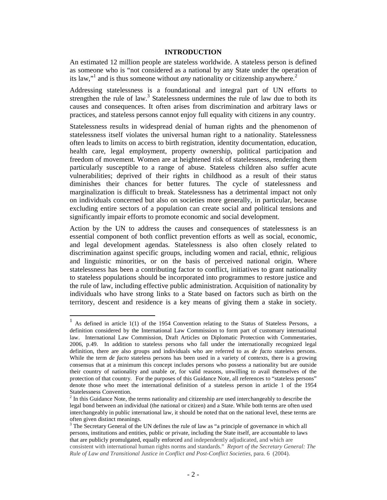#### **INTRODUCTION**

An estimated 12 million people are stateless worldwide. A stateless person is defined as someone who is "not considered as a national by any State under the operation of its law,"<sup>1</sup> and is thus someone without *any* nationality or citizenship anywhere.<sup>2</sup>

Addressing statelessness is a foundational and integral part of UN efforts to strengthen the rule of law. $3$  Statelessness undermines the rule of law due to both its causes and consequences. It often arises from discrimination and arbitrary laws or practices, and stateless persons cannot enjoy full equality with citizens in any country.

Statelessness results in widespread denial of human rights and the phenomenon of statelessness itself violates the universal human right to a nationality. Statelessness often leads to limits on access to birth registration, identity documentation, education, health care, legal employment, property ownership, political participation and freedom of movement. Women are at heightened risk of statelessness, rendering them particularly susceptible to a range of abuse. Stateless children also suffer acute vulnerabilities; deprived of their rights in childhood as a result of their status diminishes their chances for better futures. The cycle of statelessness and marginalization is difficult to break. Statelessness has a detrimental impact not only on individuals concerned but also on societies more generally, in particular, because excluding entire sectors of a population can create social and political tensions and significantly impair efforts to promote economic and social development.

Action by the UN to address the causes and consequences of statelessness is an essential component of both conflict prevention efforts as well as social, economic, and legal development agendas. Statelessness is also often closely related to discrimination against specific groups, including women and racial, ethnic, religious and linguistic minorities, or on the basis of perceived national origin. Where statelessness has been a contributing factor to conflict, initiatives to grant nationality to stateless populations should be incorporated into programmes to restore justice and the rule of law, including effective public administration. Acquisition of nationality by individuals who have strong links to a State based on factors such as birth on the territory, descent and residence is a key means of giving them a stake in society.

 $\ddot{\phantom{a}}$ 

<sup>1</sup> As defined in article 1(1) of the 1954 Convention relating to the Status of Stateless Persons, a definition considered by the International Law Commission to form part of customary international law. International Law Commission, Draft Articles on Diplomatic Protection with Commentaries, 2006, p.49. In addition to stateless persons who fall under the internationally recognized legal definition, there are also groups and individuals who are referred to as *de facto* stateless persons. While the term *de facto* stateless persons has been used in a variety of contexts, there is a growing consensus that at a minimum this concept includes persons who possess a nationality but are outside their country of nationality and unable or, for valid reasons, unwilling to avail themselves of the protection of that country. For the purposes of this Guidance Note, all references to "stateless persons" denote those who meet the international definition of a stateless person in article 1 of the 1954 Statelessness Convention.

 $2<sup>2</sup>$  In this Guidance Note, the terms nationality and citizenship are used interchangeably to describe the legal bond between an individual (the national or citizen) and a State. While both terms are often used interchangeably in public international law, it should be noted that on the national level, these terms are often given distinct meanings.

<sup>&</sup>lt;sup>3</sup> The Secretary General of the UN defines the rule of law as "a principle of governance in which all persons, institutions and entities, public or private, including the State itself, are accountable to laws that are publicly promulgated, equally enforced and independently adjudicated, and which are consistent with international human rights norms and standards." *Report of the Secretary General: The Rule of Law and Transitional Justice in Conflict and Post-Conflict Societies,* para. 6 (2004).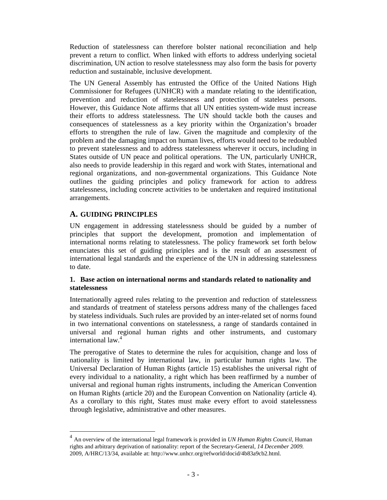Reduction of statelessness can therefore bolster national reconciliation and help prevent a return to conflict. When linked with efforts to address underlying societal discrimination, UN action to resolve statelessness may also form the basis for poverty reduction and sustainable, inclusive development.

The UN General Assembly has entrusted the Office of the United Nations High Commissioner for Refugees (UNHCR) with a mandate relating to the identification, prevention and reduction of statelessness and protection of stateless persons. However, this Guidance Note affirms that all UN entities system-wide must increase their efforts to address statelessness. The UN should tackle both the causes and consequences of statelessness as a key priority within the Organization's broader efforts to strengthen the rule of law. Given the magnitude and complexity of the problem and the damaging impact on human lives, efforts would need to be redoubled to prevent statelessness and to address statelessness wherever it occurs, including in States outside of UN peace and political operations. The UN, particularly UNHCR, also needs to provide leadership in this regard and work with States, international and regional organizations, and non-governmental organizations. This Guidance Note outlines the guiding principles and policy framework for action to address statelessness, including concrete activities to be undertaken and required institutional arrangements.

# **A. GUIDING PRINCIPLES**

 $\ddot{\phantom{a}}$ 

UN engagement in addressing statelessness should be guided by a number of principles that support the development, promotion and implementation of international norms relating to statelessness. The policy framework set forth below enunciates this set of guiding principles and is the result of an assessment of international legal standards and the experience of the UN in addressing statelessness to date.

#### **1. Base action on international norms and standards related to nationality and statelessness**

Internationally agreed rules relating to the prevention and reduction of statelessness and standards of treatment of stateless persons address many of the challenges faced by stateless individuals. Such rules are provided by an inter-related set of norms found in two international conventions on statelessness, a range of standards contained in universal and regional human rights and other instruments, and customary international law.<sup>4</sup>

The prerogative of States to determine the rules for acquisition, change and loss of nationality is limited by international law, in particular human rights law. The Universal Declaration of Human Rights (article 15) establishes the universal right of every individual to a nationality, a right which has been reaffirmed by a number of universal and regional human rights instruments, including the American Convention on Human Rights (article 20) and the European Convention on Nationality (article 4). As a corollary to this right, States must make every effort to avoid statelessness through legislative, administrative and other measures.

<sup>4</sup> An overview of the international legal framework is provided in *UN Human Rights Council,* Human rights and arbitrary deprivation of nationality: report of the Secretary-General*, 14 December 2009.*  2009, A/HRC/13/34, available at: http://www.unhcr.org/refworld/docid/4b83a9cb2.html.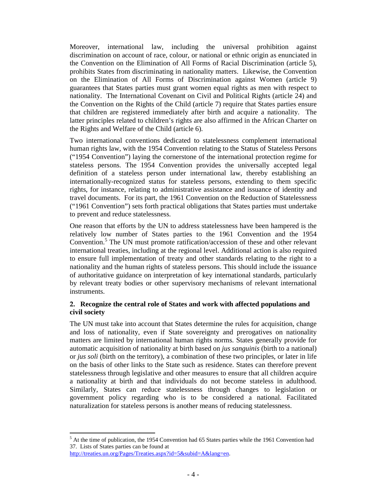Moreover, international law, including the universal prohibition against discrimination on account of race, colour, or national or ethnic origin as enunciated in the Convention on the Elimination of All Forms of Racial Discrimination (article 5), prohibits States from discriminating in nationality matters. Likewise, the Convention on the Elimination of All Forms of Discrimination against Women (article 9) guarantees that States parties must grant women equal rights as men with respect to nationality. The International Covenant on Civil and Political Rights (article 24) and the Convention on the Rights of the Child (article 7) require that States parties ensure that children are registered immediately after birth and acquire a nationality. The latter principles related to children's rights are also affirmed in the African Charter on the Rights and Welfare of the Child (article 6).

Two international conventions dedicated to statelessness complement international human rights law, with the 1954 Convention relating to the Status of Stateless Persons ("1954 Convention") laying the cornerstone of the international protection regime for stateless persons. The 1954 Convention provides the universally accepted legal definition of a stateless person under international law, thereby establishing an internationally-recognized status for stateless persons, extending to them specific rights, for instance, relating to administrative assistance and issuance of identity and travel documents. For its part, the 1961 Convention on the Reduction of Statelessness ("1961 Convention") sets forth practical obligations that States parties must undertake to prevent and reduce statelessness.

One reason that efforts by the UN to address statelessness have been hampered is the relatively low number of States parties to the 1961 Convention and the 1954 Convention.<sup>5</sup> The UN must promote ratification/accession of these and other relevant international treaties, including at the regional level. Additional action is also required to ensure full implementation of treaty and other standards relating to the right to a nationality and the human rights of stateless persons. This should include the issuance of authoritative guidance on interpretation of key international standards, particularly by relevant treaty bodies or other supervisory mechanisms of relevant international instruments.

#### **2. Recognize the central role of States and work with affected populations and civil society**

The UN must take into account that States determine the rules for acquisition, change and loss of nationality, even if State sovereignty and prerogatives on nationality matters are limited by international human rights norms. States generally provide for automatic acquisition of nationality at birth based on *jus sanguinis* (birth to a national) or *jus soli* (birth on the territory), a combination of these two principles, or later in life on the basis of other links to the State such as residence. States can therefore prevent statelessness through legislative and other measures to ensure that all children acquire a nationality at birth and that individuals do not become stateless in adulthood. Similarly, States can reduce statelessness through changes to legislation or government policy regarding who is to be considered a national. Facilitated naturalization for stateless persons is another means of reducing statelessness.

 $\overline{a}$ 

<sup>&</sup>lt;sup>5</sup> At the time of publication, the 1954 Convention had 65 States parties while the 1961 Convention had 37. Lists of States parties can be found at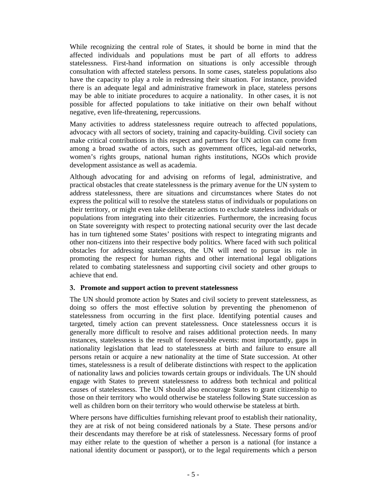While recognizing the central role of States, it should be borne in mind that the affected individuals and populations must be part of all efforts to address statelessness. First-hand information on situations is only accessible through consultation with affected stateless persons. In some cases, stateless populations also have the capacity to play a role in redressing their situation. For instance, provided there is an adequate legal and administrative framework in place, stateless persons may be able to initiate procedures to acquire a nationality. In other cases, it is not possible for affected populations to take initiative on their own behalf without negative, even life-threatening, repercussions.

Many activities to address statelessness require outreach to affected populations, advocacy with all sectors of society, training and capacity-building. Civil society can make critical contributions in this respect and partners for UN action can come from among a broad swathe of actors, such as government offices, legal-aid networks, women's rights groups, national human rights institutions, NGOs which provide development assistance as well as academia.

Although advocating for and advising on reforms of legal, administrative, and practical obstacles that create statelessness is the primary avenue for the UN system to address statelessness, there are situations and circumstances where States do not express the political will to resolve the stateless status of individuals or populations on their territory, or might even take deliberate actions to exclude stateless individuals or populations from integrating into their citizenries. Furthermore, the increasing focus on State sovereignty with respect to protecting national security over the last decade has in turn tightened some States' positions with respect to integrating migrants and other non-citizens into their respective body politics. Where faced with such political obstacles for addressing statelessness, the UN will need to pursue its role in promoting the respect for human rights and other international legal obligations related to combating statelessness and supporting civil society and other groups to achieve that end.

#### **3. Promote and support action to prevent statelessness**

The UN should promote action by States and civil society to prevent statelessness, as doing so offers the most effective solution by preventing the phenomenon of statelessness from occurring in the first place. Identifying potential causes and targeted, timely action can prevent statelessness. Once statelessness occurs it is generally more difficult to resolve and raises additional protection needs. In many instances, statelessness is the result of foreseeable events: most importantly, gaps in nationality legislation that lead to statelessness at birth and failure to ensure all persons retain or acquire a new nationality at the time of State succession. At other times, statelessness is a result of deliberate distinctions with respect to the application of nationality laws and policies towards certain groups or individuals. The UN should engage with States to prevent statelessness to address both technical and political causes of statelessness. The UN should also encourage States to grant citizenship to those on their territory who would otherwise be stateless following State succession as well as children born on their territory who would otherwise be stateless at birth.

Where persons have difficulties furnishing relevant proof to establish their nationality, they are at risk of not being considered nationals by a State. These persons and/or their descendants may therefore be at risk of statelessness. Necessary forms of proof may either relate to the question of whether a person is a national (for instance a national identity document or passport), or to the legal requirements which a person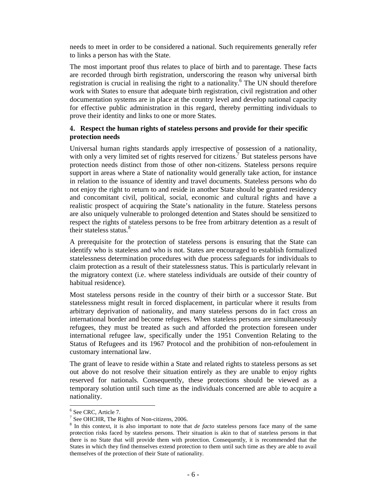needs to meet in order to be considered a national. Such requirements generally refer to links a person has with the State.

The most important proof thus relates to place of birth and to parentage. These facts are recorded through birth registration, underscoring the reason why universal birth registration is crucial in realising the right to a nationality.<sup>6</sup> The UN should therefore work with States to ensure that adequate birth registration, civil registration and other documentation systems are in place at the country level and develop national capacity for effective public administration in this regard, thereby permitting individuals to prove their identity and links to one or more States.

#### **4. Respect the human rights of stateless persons and provide for their specific protection needs**

Universal human rights standards apply irrespective of possession of a nationality, with only a very limited set of rights reserved for citizens.<sup>7</sup> But stateless persons have protection needs distinct from those of other non-citizens. Stateless persons require support in areas where a State of nationality would generally take action, for instance in relation to the issuance of identity and travel documents. Stateless persons who do not enjoy the right to return to and reside in another State should be granted residency and concomitant civil, political, social, economic and cultural rights and have a realistic prospect of acquiring the State's nationality in the future. Stateless persons are also uniquely vulnerable to prolonged detention and States should be sensitized to respect the rights of stateless persons to be free from arbitrary detention as a result of their stateless status.<sup>8</sup>

A prerequisite for the protection of stateless persons is ensuring that the State can identify who is stateless and who is not. States are encouraged to establish formalized statelessness determination procedures with due process safeguards for individuals to claim protection as a result of their statelessness status. This is particularly relevant in the migratory context (i.e. where stateless individuals are outside of their country of habitual residence).

Most stateless persons reside in the country of their birth or a successor State. But statelessness might result in forced displacement, in particular where it results from arbitrary deprivation of nationality, and many stateless persons do in fact cross an international border and become refugees. When stateless persons are simultaneously refugees, they must be treated as such and afforded the protection foreseen under international refugee law, specifically under the 1951 Convention Relating to the Status of Refugees and its 1967 Protocol and the prohibition of non-refoulement in customary international law.

The grant of leave to reside within a State and related rights to stateless persons as set out above do not resolve their situation entirely as they are unable to enjoy rights reserved for nationals. Consequently, these protections should be viewed as a temporary solution until such time as the individuals concerned are able to acquire a nationality.

 $\overline{a}$ 

<sup>6</sup> See CRC, Article 7.

<sup>&</sup>lt;sup>7</sup> See OHCHR, The Rights of Non-citizens, 2006.

<sup>&</sup>lt;sup>8</sup> In this context, it is also important to note that *de facto* stateless persons face many of the same protection risks faced by stateless persons. Their situation is akin to that of stateless persons in that there is no State that will provide them with protection. Consequently, it is recommended that the States in which they find themselves extend protection to them until such time as they are able to avail themselves of the protection of their State of nationality.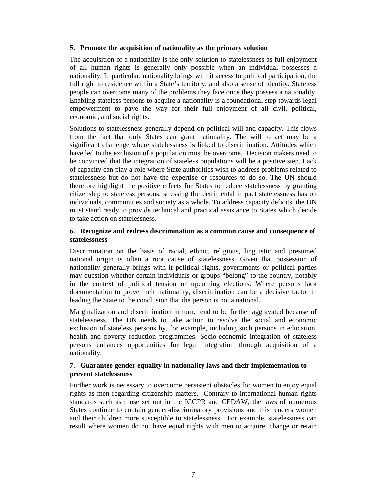#### **5. Promote the acquisition of nationality as the primary solution**

The acquisition of a nationality is the only solution to statelessness as full enjoyment of all human rights is generally only possible when an individual possesses a nationality. In particular, nationality brings with it access to political participation, the full right to residence within a State's territory, and also a sense of identity. Stateless people can overcome many of the problems they face once they possess a nationality. Enabling stateless persons to acquire a nationality is a foundational step towards legal empowerment to pave the way for their full enjoyment of all civil, political, economic, and social rights.

Solutions to statelessness generally depend on political will and capacity. This flows from the fact that only States can grant nationality. The will to act may be a significant challenge where statelessness is linked to discrimination. Attitudes which have led to the exclusion of a population must be overcome. Decision makers need to be convinced that the integration of stateless populations will be a positive step. Lack of capacity can play a role where State authorities wish to address problems related to statelessness but do not have the expertise or resources to do so. The UN should therefore highlight the positive effects for States to reduce statelessness by granting citizenship to stateless persons, stressing the detrimental impact statelessness has on individuals, communities and society as a whole. To address capacity deficits, the UN must stand ready to provide technical and practical assistance to States which decide to take action on statelessness.

#### **6. Recognize and redress discrimination as a common cause and consequence of statelessness**

Discrimination on the basis of racial, ethnic, religious, linguistic and presumed national origin is often a root cause of statelessness. Given that possession of nationality generally brings with it political rights, governments or political parties may question whether certain individuals or groups "belong" to the country, notably in the context of political tension or upcoming elections. Where persons lack documentation to prove their nationality, discrimination can be a decisive factor in leading the State to the conclusion that the person is not a national.

Marginalization and discrimination in turn, tend to be further aggravated because of statelessness. The UN needs to take action to resolve the social and economic exclusion of stateless persons by, for example, including such persons in education, health and poverty reduction programmes. Socio-economic integration of stateless persons enhances opportunities for legal integration through acquisition of a nationality.

#### **7. Guarantee gender equality in nationality laws and their implementation to prevent statelessness**

Further work is necessary to overcome persistent obstacles for women to enjoy equal rights as men regarding citizenship matters. Contrary to international human rights standards such as those set out in the ICCPR and CEDAW, the laws of numerous States continue to contain gender-discriminatory provisions and this renders women and their children more susceptible to statelessness. For example, statelessness can result where women do not have equal rights with men to acquire, change or retain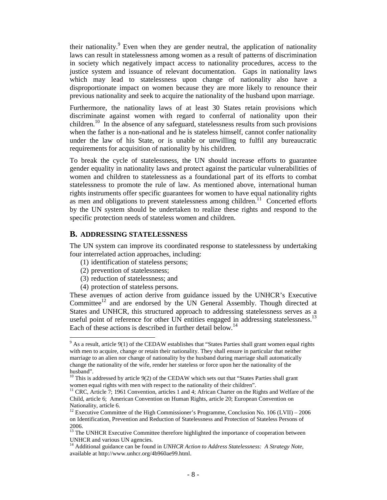their nationality.<sup>9</sup> Even when they are gender neutral, the application of nationality laws can result in statelessness among women as a result of patterns of discrimination in society which negatively impact access to nationality procedures, access to the justice system and issuance of relevant documentation. Gaps in nationality laws which may lead to statelessness upon change of nationality also have a disproportionate impact on women because they are more likely to renounce their previous nationality and seek to acquire the nationality of the husband upon marriage.

Furthermore, the nationality laws of at least 30 States retain provisions which discriminate against women with regard to conferral of nationality upon their children.<sup>10</sup> In the absence of any safeguard, statelessness results from such provisions when the father is a non-national and he is stateless himself, cannot confer nationality under the law of his State, or is unable or unwilling to fulfil any bureaucratic requirements for acquisition of nationality by his children.

To break the cycle of statelessness, the UN should increase efforts to guarantee gender equality in nationality laws and protect against the particular vulnerabilities of women and children to statelessness as a foundational part of its efforts to combat statelessness to promote the rule of law. As mentioned above, international human rights instruments offer specific guarantees for women to have equal nationality rights as men and obligations to prevent statelessness among children.<sup>11</sup> Concerted efforts by the UN system should be undertaken to realize these rights and respond to the specific protection needs of stateless women and children.

#### **B. ADDRESSING STATELESSNESS**

The UN system can improve its coordinated response to statelessness by undertaking four interrelated action approaches, including:

- (1) identification of stateless persons;
- (2) prevention of statelessness;
- (3) reduction of statelessness; and
- (4) protection of stateless persons.

These avenues of action derive from guidance issued by the UNHCR's Executive Committee<sup>12</sup> and are endorsed by the UN General Assembly. Though directed at States and UNHCR, this structured approach to addressing statelessness serves as a useful point of reference for other UN entities engaged in addressing statelessness.<sup>13</sup> Each of these actions is described in further detail below.<sup>14</sup>

<sup>&</sup>lt;sup>9</sup> As a result, article 9(1) of the CEDAW establishes that "States Parties shall grant women equal rights with men to acquire, change or retain their nationality. They shall ensure in particular that neither marriage to an alien nor change of nationality by the husband during marriage shall automatically change the nationality of the wife, render her stateless or force upon her the nationality of the husband".

<sup>&</sup>lt;sup>10</sup> This is addressed by article 9(2) of the CEDAW which sets out that "States Parties shall grant women equal rights with men with respect to the nationality of their children".

<sup>11</sup> CRC, Article 7; 1961 Convention, articles 1 and 4; African Charter on the Rights and Welfare of the Child, article 6; American Convention on Human Rights, article 20; European Convention on Nationality, article 6.

<sup>&</sup>lt;sup>12</sup> Executive Committee of the High Commissioner's Programme, Conclusion No. 106 (LVII) – 2006 on Identification, Prevention and Reduction of Statelessness and Protection of Stateless Persons of 2006.

<sup>&</sup>lt;sup>13</sup> The UNHCR Executive Committee therefore highlighted the importance of cooperation between UNHCR and various UN agencies.

<sup>&</sup>lt;sup>14</sup> Additional guidance can be found in *UNHCR Action to Address Statelessness: A Strategy Note*, available at http://www.unhcr.org/4b960ae99.html.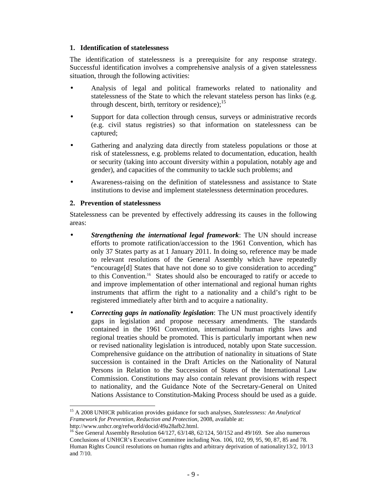#### **1. Identification of statelessness**

The identification of statelessness is a prerequisite for any response strategy. Successful identification involves a comprehensive analysis of a given statelessness situation, through the following activities:

- Analysis of legal and political frameworks related to nationality and statelessness of the State to which the relevant stateless person has links (e.g. through descent, birth, territory or residence); $^{15}$
- Support for data collection through census, surveys or administrative records (e.g. civil status registries) so that information on statelessness can be captured;
- Gathering and analyzing data directly from stateless populations or those at risk of statelessness, e.g. problems related to documentation, education, health or security (taking into account diversity within a population, notably age and gender), and capacities of the community to tackle such problems; and
- Awareness-raising on the definition of statelessness and assistance to State institutions to devise and implement statelessness determination procedures.

#### **2. Prevention of statelessness**

Statelessness can be prevented by effectively addressing its causes in the following areas:

- *Strengthening the international legal framework*: The UN should increase efforts to promote ratification/accession to the 1961 Convention, which has only 37 States party as at 1 January 2011. In doing so, reference may be made to relevant resolutions of the General Assembly which have repeatedly "encourage[d] States that have not done so to give consideration to acceding" to this Convention.<sup>16</sup> States should also be encouraged to ratify or accede to and improve implementation of other international and regional human rights instruments that affirm the right to a nationality and a child's right to be registered immediately after birth and to acquire a nationality.
- *Correcting gaps in nationality legislation*: The UN must proactively identify gaps in legislation and propose necessary amendments. The standards contained in the 1961 Convention, international human rights laws and regional treaties should be promoted. This is particularly important when new or revised nationality legislation is introduced, notably upon State succession. Comprehensive guidance on the attribution of nationality in situations of State succession is contained in the Draft Articles on the Nationality of Natural Persons in Relation to the Succession of States of the International Law Commission. Constitutions may also contain relevant provisions with respect to nationality, and the Guidance Note of the Secretary-General on United Nations Assistance to Constitution-Making Process should be used as a guide.

 $\overline{a}$ <sup>15</sup> A 2008 UNHCR publication provides guidance for such analyses, *Statelessness: An Analytical Framework for Prevention, Reduction and Protection,* 2008, available at: http://www.unhcr.org/refworld/docid/49a28afb2.html.

<sup>&</sup>lt;sup>16</sup> See General Assembly Resolution  $64/127$ ,  $63/148$ ,  $62/124$ ,  $50/152$  and  $49/169$ . See also numerous Conclusions of UNHCR's Executive Committee including Nos. 106, 102, 99, 95, 90, 87, 85 and 78. Human Rights Council resolutions on human rights and arbitrary deprivation of nationality13/2, 10/13 and 7/10.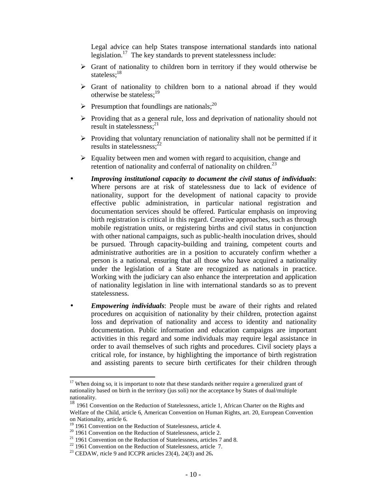Legal advice can help States transpose international standards into national legislation.<sup>17</sup> The key standards to prevent statelessness include:

- $\triangleright$  Grant of nationality to children born in territory if they would otherwise be stateless;<sup>18</sup>
- $\triangleright$  Grant of nationality to children born to a national abroad if they would otherwise be stateless:<sup>19</sup>
- $\triangleright$  Presumption that foundlings are nationals;<sup>20</sup>
- $\triangleright$  Providing that as a general rule, loss and deprivation of nationality should not result in statelessness; $^{21}$
- $\triangleright$  Providing that voluntary renunciation of nationality shall not be permitted if it results in statelessness: $^{22}$
- $\triangleright$  Equality between men and women with regard to acquisition, change and retention of nationality and conferral of nationality on children.<sup>23</sup>
- *Improving institutional capacity to document the civil status of individuals*: Where persons are at risk of statelessness due to lack of evidence of nationality, support for the development of national capacity to provide effective public administration, in particular national registration and documentation services should be offered. Particular emphasis on improving birth registration is critical in this regard. Creative approaches, such as through mobile registration units, or registering births and civil status in conjunction with other national campaigns, such as public-health inoculation drives, should be pursued. Through capacity-building and training, competent courts and administrative authorities are in a position to accurately confirm whether a person is a national, ensuring that all those who have acquired a nationality under the legislation of a State are recognized as nationals in practice. Working with the judiciary can also enhance the interpretation and application of nationality legislation in line with international standards so as to prevent statelessness.
- *Empowering individuals*: People must be aware of their rights and related procedures on acquisition of nationality by their children, protection against loss and deprivation of nationality and access to identity and nationality documentation. Public information and education campaigns are important activities in this regard and some individuals may require legal assistance in order to avail themselves of such rights and procedures. Civil society plays a critical role, for instance, by highlighting the importance of birth registration and assisting parents to secure birth certificates for their children through

 $\ddot{\phantom{a}}$ 

<sup>&</sup>lt;sup>17</sup> When doing so, it is important to note that these standards neither require a generalized grant of nationality based on birth in the territory (jus soli) nor the acceptance by States of dual/multiple nationality.

<sup>&</sup>lt;sup>18</sup> 1961 Convention on the Reduction of Statelessness, article 1, African Charter on the Rights and Welfare of the Child, article 6, American Convention on Human Rights, art. 20, European Convention on Nationality, article 6.

<sup>&</sup>lt;sup>19</sup> 1961 Convention on the Reduction of Statelessness, article 4.

 $20$  1961 Convention on the Reduction of Statelessness, article 2.

 $21$  1961 Convention on the Reduction of Statelessness, articles 7 and 8.

 $22$  1961 Convention on the Reduction of Statelessness, article 7.

<sup>23</sup> CEDAW, rticle 9 and ICCPR articles 23(4), 24(3) and 26**.**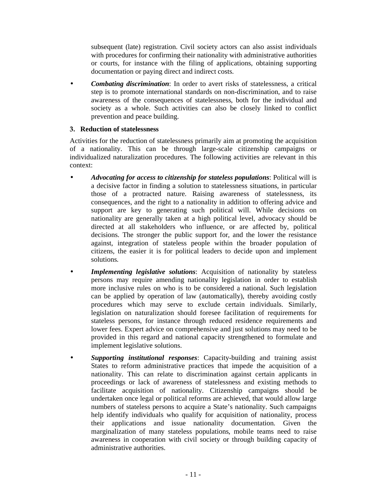subsequent (late) registration. Civil society actors can also assist individuals with procedures for confirming their nationality with administrative authorities or courts, for instance with the filing of applications, obtaining supporting documentation or paying direct and indirect costs.

• *Combating discrimination*: In order to avert risks of statelessness, a critical step is to promote international standards on non-discrimination, and to raise awareness of the consequences of statelessness, both for the individual and society as a whole. Such activities can also be closely linked to conflict prevention and peace building.

#### **3. Reduction of statelessness**

Activities for the reduction of statelessness primarily aim at promoting the acquisition of a nationality. This can be through large-scale citizenship campaigns or individualized naturalization procedures. The following activities are relevant in this context:

- *Advocating for access to citizenship for stateless populations*: Political will is a decisive factor in finding a solution to statelessness situations, in particular those of a protracted nature. Raising awareness of statelessness, its consequences, and the right to a nationality in addition to offering advice and support are key to generating such political will. While decisions on nationality are generally taken at a high political level, advocacy should be directed at all stakeholders who influence, or are affected by, political decisions. The stronger the public support for, and the lower the resistance against, integration of stateless people within the broader population of citizens, the easier it is for political leaders to decide upon and implement solutions.
- *Implementing legislative solutions*: Acquisition of nationality by stateless persons may require amending nationality legislation in order to establish more inclusive rules on who is to be considered a national. Such legislation can be applied by operation of law (automatically), thereby avoiding costly procedures which may serve to exclude certain individuals. Similarly, legislation on naturalization should foresee facilitation of requirements for stateless persons, for instance through reduced residence requirements and lower fees. Expert advice on comprehensive and just solutions may need to be provided in this regard and national capacity strengthened to formulate and implement legislative solutions.
- *Supporting institutional responses*: Capacity-building and training assist States to reform administrative practices that impede the acquisition of a nationality. This can relate to discrimination against certain applicants in proceedings or lack of awareness of statelessness and existing methods to facilitate acquisition of nationality. Citizenship campaigns should be undertaken once legal or political reforms are achieved, that would allow large numbers of stateless persons to acquire a State's nationality. Such campaigns help identify individuals who qualify for acquisition of nationality, process their applications and issue nationality documentation. Given the marginalization of many stateless populations, mobile teams need to raise awareness in cooperation with civil society or through building capacity of administrative authorities.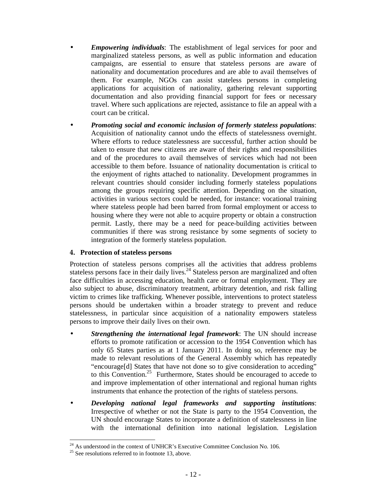- *Empowering individuals*: The establishment of legal services for poor and marginalized stateless persons, as well as public information and education campaigns, are essential to ensure that stateless persons are aware of nationality and documentation procedures and are able to avail themselves of them. For example, NGOs can assist stateless persons in completing applications for acquisition of nationality, gathering relevant supporting documentation and also providing financial support for fees or necessary travel. Where such applications are rejected, assistance to file an appeal with a court can be critical.
- *Promoting social and economic inclusion of formerly stateless populations*: Acquisition of nationality cannot undo the effects of statelessness overnight. Where efforts to reduce statelessness are successful, further action should be taken to ensure that new citizens are aware of their rights and responsibilities and of the procedures to avail themselves of services which had not been accessible to them before. Issuance of nationality documentation is critical to the enjoyment of rights attached to nationality. Development programmes in relevant countries should consider including formerly stateless populations among the groups requiring specific attention. Depending on the situation, activities in various sectors could be needed, for instance: vocational training where stateless people had been barred from formal employment or access to housing where they were not able to acquire property or obtain a construction permit. Lastly, there may be a need for peace-building activities between communities if there was strong resistance by some segments of society to integration of the formerly stateless population.

### **4. Protection of stateless persons**

Protection of stateless persons comprises all the activities that address problems stateless persons face in their daily lives.<sup>24</sup> Stateless person are marginalized and often face difficulties in accessing education, health care or formal employment. They are also subject to abuse, discriminatory treatment, arbitrary detention, and risk falling victim to crimes like trafficking. Whenever possible, interventions to protect stateless persons should be undertaken within a broader strategy to prevent and reduce statelessness, in particular since acquisition of a nationality empowers stateless persons to improve their daily lives on their own.

- *Strengthening the international legal framework*: The UN should increase efforts to promote ratification or accession to the 1954 Convention which has only 65 States parties as at 1 January 2011. In doing so, reference may be made to relevant resolutions of the General Assembly which has repeatedly "encourage[d] States that have not done so to give consideration to acceding" to this Convention.<sup>25</sup> Furthermore, States should be encouraged to accede to and improve implementation of other international and regional human rights instruments that enhance the protection of the rights of stateless persons.
- *Developing national legal frameworks and supporting institutions*: Irrespective of whether or not the State is party to the 1954 Convention, the UN should encourage States to incorporate a definition of statelessness in line with the international definition into national legislation. Legislation

 $\overline{a}$  $^{24}$  As understood in the context of UNHCR's Executive Committee Conclusion No. 106.

 $25$  See resolutions referred to in footnote 13, above.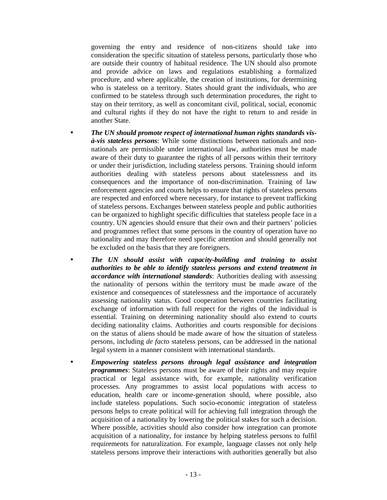governing the entry and residence of non-citizens should take into consideration the specific situation of stateless persons, particularly those who are outside their country of habitual residence. The UN should also promote and provide advice on laws and regulations establishing a formalized procedure, and where applicable, the creation of institutions, for determining who is stateless on a territory. States should grant the individuals, who are confirmed to be stateless through such determination procedures, the right to stay on their territory, as well as concomitant civil, political, social, economic and cultural rights if they do not have the right to return to and reside in another State.

- *The UN should promote respect of international human rights standards visà-vis stateless persons*: While some distinctions between nationals and nonnationals are permissible under international law, authorities must be made aware of their duty to guarantee the rights of all persons within their territory or under their jurisdiction, including stateless persons. Training should inform authorities dealing with stateless persons about statelessness and its consequences and the importance of non-discrimination. Training of law enforcement agencies and courts helps to ensure that rights of stateless persons are respected and enforced where necessary, for instance to prevent trafficking of stateless persons. Exchanges between stateless people and public authorities can be organized to highlight specific difficulties that stateless people face in a country. UN agencies should ensure that their own and their partners' policies and programmes reflect that some persons in the country of operation have no nationality and may therefore need specific attention and should generally not be excluded on the basis that they are foreigners.
- *The UN should assist with capacity-building and training to assist authorities to be able to identify stateless persons and extend treatment in accordance with international standards*: Authorities dealing with assessing the nationality of persons within the territory must be made aware of the existence and consequences of statelessness and the importance of accurately assessing nationality status. Good cooperation between countries facilitating exchange of information with full respect for the rights of the individual is essential. Training on determining nationality should also extend to courts deciding nationality claims. Authorities and courts responsible for decisions on the status of aliens should be made aware of how the situation of stateless persons, including *de facto* stateless persons, can be addressed in the national legal system in a manner consistent with international standards.
- *Empowering stateless persons through legal assistance and integration programmes*: Stateless persons must be aware of their rights and may require practical or legal assistance with, for example, nationality verification processes. Any programmes to assist local populations with access to education, health care or income-generation should, where possible, also include stateless populations. Such socio-economic integration of stateless persons helps to create political will for achieving full integration through the acquisition of a nationality by lowering the political stakes for such a decision. Where possible, activities should also consider how integration can promote acquisition of a nationality, for instance by helping stateless persons to fulfil requirements for naturalization. For example, language classes not only help stateless persons improve their interactions with authorities generally but also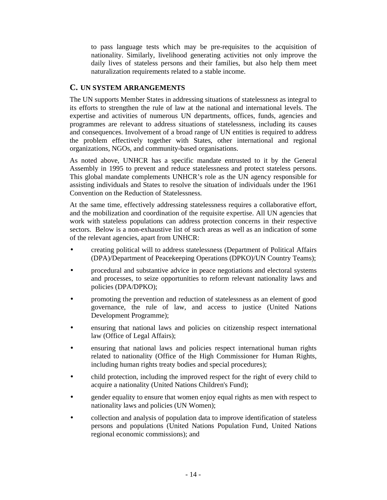to pass language tests which may be pre-requisites to the acquisition of nationality. Similarly, livelihood generating activities not only improve the daily lives of stateless persons and their families, but also help them meet naturalization requirements related to a stable income.

## **C. UN SYSTEM ARRANGEMENTS**

The UN supports Member States in addressing situations of statelessness as integral to its efforts to strengthen the rule of law at the national and international levels. The expertise and activities of numerous UN departments, offices, funds, agencies and programmes are relevant to address situations of statelessness, including its causes and consequences. Involvement of a broad range of UN entities is required to address the problem effectively together with States, other international and regional organizations, NGOs, and community-based organisations.

As noted above, UNHCR has a specific mandate entrusted to it by the General Assembly in 1995 to prevent and reduce statelessness and protect stateless persons. This global mandate complements UNHCR's role as the UN agency responsible for assisting individuals and States to resolve the situation of individuals under the 1961 Convention on the Reduction of Statelessness.

At the same time, effectively addressing statelessness requires a collaborative effort, and the mobilization and coordination of the requisite expertise. All UN agencies that work with stateless populations can address protection concerns in their respective sectors. Below is a non-exhaustive list of such areas as well as an indication of some of the relevant agencies, apart from UNHCR:

- creating political will to address statelessness (Department of Political Affairs (DPA)/Department of Peacekeeping Operations (DPKO)/UN Country Teams);
- procedural and substantive advice in peace negotiations and electoral systems and processes, to seize opportunities to reform relevant nationality laws and policies (DPA/DPKO);
- promoting the prevention and reduction of statelessness as an element of good governance, the rule of law, and access to justice (United Nations Development Programme);
- ensuring that national laws and policies on citizenship respect international law (Office of Legal Affairs);
- ensuring that national laws and policies respect international human rights related to nationality (Office of the High Commissioner for Human Rights, including human rights treaty bodies and special procedures);
- child protection, including the improved respect for the right of every child to acquire a nationality (United Nations Children's Fund);
- gender equality to ensure that women enjoy equal rights as men with respect to nationality laws and policies (UN Women);
- collection and analysis of population data to improve identification of stateless persons and populations (United Nations Population Fund, United Nations regional economic commissions); and